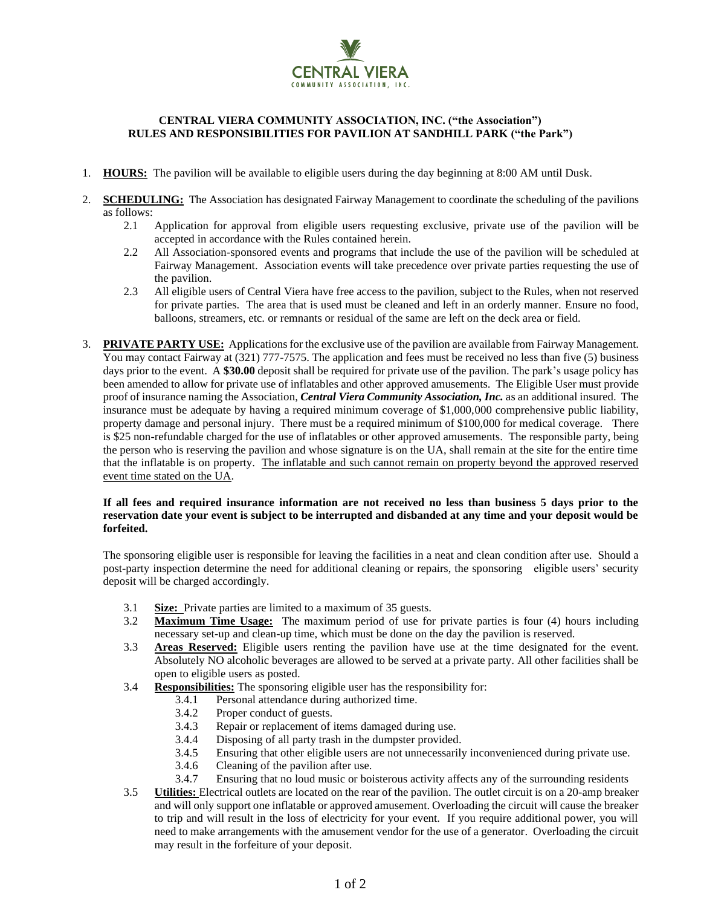

## **CENTRAL VIERA COMMUNITY ASSOCIATION, INC. ("the Association") RULES AND RESPONSIBILITIES FOR PAVILION AT SANDHILL PARK ("the Park")**

- 1. **HOURS:** The pavilion will be available to eligible users during the day beginning at 8:00 AM until Dusk.
- 2. **SCHEDULING:** The Association has designated Fairway Management to coordinate the scheduling of the pavilions as follows:
	- 2.1 Application for approval from eligible users requesting exclusive, private use of the pavilion will be accepted in accordance with the Rules contained herein.
	- 2.2 All Association-sponsored events and programs that include the use of the pavilion will be scheduled at Fairway Management. Association events will take precedence over private parties requesting the use of the pavilion.
	- 2.3 All eligible users of Central Viera have free access to the pavilion, subject to the Rules, when not reserved for private parties. The area that is used must be cleaned and left in an orderly manner. Ensure no food, balloons, streamers, etc. or remnants or residual of the same are left on the deck area or field.
- 3. **PRIVATE PARTY USE:** Applications for the exclusive use of the pavilion are available from Fairway Management. You may contact Fairway at (321) 777-7575. The application and fees must be received no less than five (5) business days prior to the event. A **\$30.00** deposit shall be required for private use of the pavilion. The park's usage policy has been amended to allow for private use of inflatables and other approved amusements. The Eligible User must provide proof of insurance naming the Association, *Central Viera Community Association, Inc.* as an additional insured. The insurance must be adequate by having a required minimum coverage of \$1,000,000 comprehensive public liability, property damage and personal injury. There must be a required minimum of \$100,000 for medical coverage. There is \$25 non-refundable charged for the use of inflatables or other approved amusements. The responsible party, being the person who is reserving the pavilion and whose signature is on the UA, shall remain at the site for the entire time that the inflatable is on property. The inflatable and such cannot remain on property beyond the approved reserved event time stated on the UA.

## **If all fees and required insurance information are not received no less than business 5 days prior to the reservation date your event is subject to be interrupted and disbanded at any time and your deposit would be forfeited.**

The sponsoring eligible user is responsible for leaving the facilities in a neat and clean condition after use. Should a post-party inspection determine the need for additional cleaning or repairs, the sponsoring eligible users' security deposit will be charged accordingly.

- 3.1 **Size:** Private parties are limited to a maximum of 35 guests.
- 3.2 **Maximum Time Usage:** The maximum period of use for private parties is four (4) hours including necessary set-up and clean-up time, which must be done on the day the pavilion is reserved.
- 3.3 **Areas Reserved:** Eligible users renting the pavilion have use at the time designated for the event. Absolutely NO alcoholic beverages are allowed to be served at a private party. All other facilities shall be open to eligible users as posted.
- 3.4 **Responsibilities:** The sponsoring eligible user has the responsibility for:
	- 3.4.1 Personal attendance during authorized time.
	- 3.4.2 Proper conduct of guests.
	- 3.4.3 Repair or replacement of items damaged during use.
	- 3.4.4 Disposing of all party trash in the dumpster provided.
	- 3.4.5 Ensuring that other eligible users are not unnecessarily inconvenienced during private use.
	- 3.4.6 Cleaning of the pavilion after use.
	- 3.4.7 Ensuring that no loud music or boisterous activity affects any of the surrounding residents
- 3.5 **Utilities:** Electrical outlets are located on the rear of the pavilion. The outlet circuit is on a 20-amp breaker and will only support one inflatable or approved amusement. Overloading the circuit will cause the breaker to trip and will result in the loss of electricity for your event. If you require additional power, you will need to make arrangements with the amusement vendor for the use of a generator. Overloading the circuit may result in the forfeiture of your deposit.